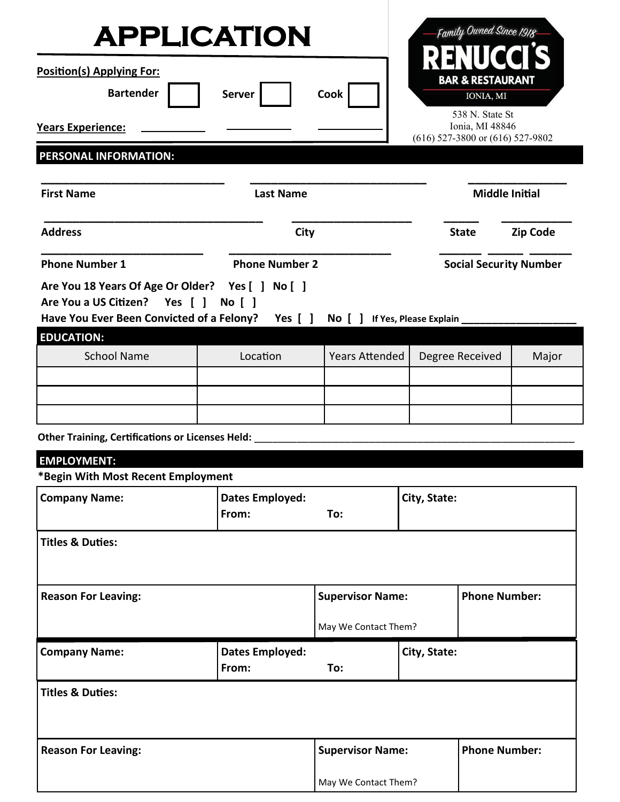| <b>APPLICATION</b>                                                                                                                                                 |                                                                       |                                 |                                     |  |                               | Family Owned Since 1918                                                        |                 |
|--------------------------------------------------------------------------------------------------------------------------------------------------------------------|-----------------------------------------------------------------------|---------------------------------|-------------------------------------|--|-------------------------------|--------------------------------------------------------------------------------|-----------------|
| Position(s) Applying For:<br><b>Bartender</b><br><b>Years Experience:</b>                                                                                          |                                                                       | <b>Server</b>                   | Cook                                |  |                               | <b>BAR &amp; RESTAURANT</b><br>IONIA, MI<br>538 N. State St<br>Ionia, MI 48846 |                 |
| PERSONAL INFORMATION:                                                                                                                                              |                                                                       |                                 |                                     |  |                               | $(616)$ 527-3800 or $(616)$ 527-9802                                           |                 |
| <b>First Name</b>                                                                                                                                                  |                                                                       | <b>Last Name</b>                |                                     |  |                               | <b>Middle Initial</b>                                                          |                 |
| <b>Address</b>                                                                                                                                                     |                                                                       | <b>City</b>                     |                                     |  |                               | <b>State</b>                                                                   | <b>Zip Code</b> |
| <b>Phone Number 1</b>                                                                                                                                              |                                                                       | <b>Phone Number 2</b>           |                                     |  | <b>Social Security Number</b> |                                                                                |                 |
| Are You 18 Years Of Age Or Older? Yes [ ] No [ ]<br>Are You a US Citizen? Yes [ ] No [ ]<br>Have You Ever Been Convicted of a Felony? Yes [ ]<br><b>EDUCATION:</b> |                                                                       |                                 | No [ ] If Yes, Please Explain _____ |  |                               |                                                                                |                 |
| <b>School Name</b>                                                                                                                                                 |                                                                       | Location                        | <b>Years Attended</b>               |  |                               | Degree Received                                                                | Major           |
|                                                                                                                                                                    |                                                                       |                                 |                                     |  |                               |                                                                                |                 |
|                                                                                                                                                                    |                                                                       |                                 |                                     |  |                               |                                                                                |                 |
| <b>Other Training, Certifications or Licenses Held:</b>                                                                                                            |                                                                       |                                 |                                     |  |                               |                                                                                |                 |
| <b>EMPLOYMENT:</b>                                                                                                                                                 |                                                                       |                                 |                                     |  |                               |                                                                                |                 |
| <b>Company Name:</b>                                                                                                                                               | *Begin With Most Recent Employment<br><b>Dates Employed:</b><br>From: |                                 | To:                                 |  | City, State:                  |                                                                                |                 |
| <b>Titles &amp; Duties:</b>                                                                                                                                        |                                                                       |                                 |                                     |  |                               |                                                                                |                 |
| <b>Reason For Leaving:</b>                                                                                                                                         |                                                                       |                                 | <b>Supervisor Name:</b>             |  |                               | <b>Phone Number:</b>                                                           |                 |
|                                                                                                                                                                    |                                                                       |                                 | May We Contact Them?                |  |                               |                                                                                |                 |
| <b>Company Name:</b>                                                                                                                                               |                                                                       | <b>Dates Employed:</b><br>From: | City, State:<br>To:                 |  |                               |                                                                                |                 |
| <b>Titles &amp; Duties:</b>                                                                                                                                        |                                                                       |                                 |                                     |  |                               |                                                                                |                 |
| <b>Reason For Leaving:</b>                                                                                                                                         |                                                                       |                                 | <b>Supervisor Name:</b>             |  |                               | <b>Phone Number:</b>                                                           |                 |
|                                                                                                                                                                    |                                                                       |                                 | May We Contact Them?                |  |                               |                                                                                |                 |